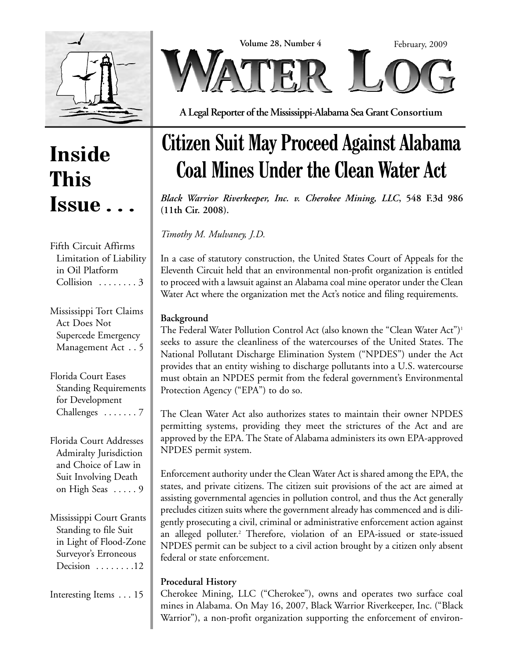



**A Legal Reporter of the Mississippi-Alabama Sea Grant Consortium**

### **Inside This Issue . . .**

Fifth Circuit Affirms Limitation of Liability in Oil Platform Collision . . . . . . . . 3

Mississippi Tort Claims Act Does Not Supercede Emergency Management Act . . 5

Florida Court Eases Standing Requirements for Development Challenges ....... 7

Florida Court Addresses Admiralty Jurisdiction and Choice of Law in Suit Involving Death on High Seas ..... 9

Mississippi Court Grants Standing to file Suit in Light of Flood-Zone Surveyor's Erroneous Decision . . . . . . . . 12

Interesting Items . . . 15

# **Citizen Suit May Proceed Against Alabama Coal Mines Under the Clean Water Act**

*Black Warrior Riverkeeper, Inc. v. Cherokee Mining, LLC***, 548 F.3d 986 (11th Cir. 2008).**

*Timothy M. Mulvaney, J.D.*

In a case of statutory construction, the United States Court of Appeals for the Eleventh Circuit held that an environmental non-profit organization is entitled to proceed with a lawsuit against an Alabama coal mine operator under the Clean Water Act where the organization met the Act's notice and filing requirements.

### **Background**

The Federal Water Pollution Control Act (also known the "Clean Water Act")<sup>1</sup> seeks to assure the cleanliness of the watercourses of the United States. The National Pollutant Discharge Elimination System ("NPDES") under the Act provides that an entity wishing to discharge pollutants into a U.S. watercourse must obtain an NPDES permit from the federal government's Environmental Protection Agency ("EPA") to do so.

The Clean Water Act also authorizes states to maintain their owner NPDES permitting systems, providing they meet the strictures of the Act and are approved by the EPA. The State of Alabama administers its own EPA-approved NPDES permit system.

Enforcement authority under the Clean Water Act is shared among the EPA, the states, and private citizens. The citizen suit provisions of the act are aimed at assisting governmental agencies in pollution control, and thus the Act generally precludes citizen suits where the government already has commenced and is diligently prosecuting a civil, criminal or administrative enforcement action against an alleged polluter.<sup>2</sup> Therefore, violation of an EPA-issued or state-issued NPDES permit can be subject to a civil action brought by a citizen only absent federal or state enforcement.

### **Procedural History**

Cherokee Mining, LLC ("Cherokee"), owns and operates two surface coal mines in Alabama. On May 16, 2007, Black Warrior Riverkeeper, Inc. ("Black Warrior"), a non-profit organization supporting the enforcement of environ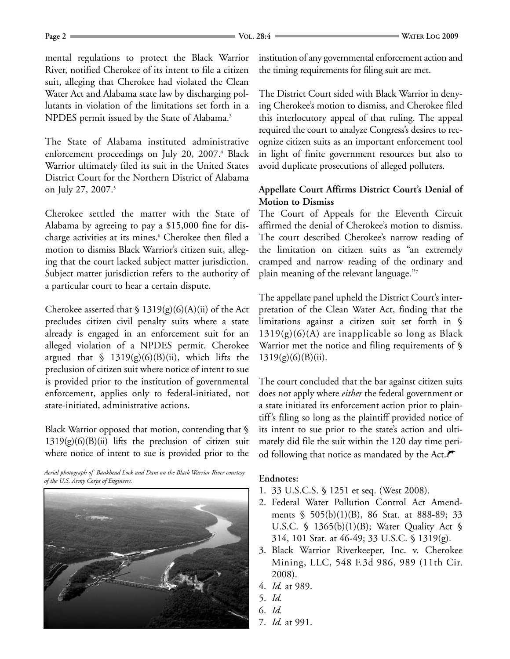mental regulations to protect the Black Warrior River, notified Cherokee of its intent to file a citizen suit, alleging that Cherokee had violated the Clean Water Act and Alabama state law by discharging pollutants in violation of the limitations set forth in a NPDES permit issued by the State of Alabama.<sup>3</sup>

The State of Alabama instituted administrative enforcement proceedings on July 20, 2007.<sup>4</sup> Black Warrior ultimately filed its suit in the United States District Court for the Northern District of Alabama on July 27, 2007.<sup>5</sup>

Cherokee settled the matter with the State of Alabama by agreeing to pay a \$15,000 fine for discharge activities at its mines.<sup>6</sup> Cherokee then filed a motion to dismiss Black Warrior's citizen suit, alleging that the court lacked subject matter jurisdiction. Subject matter jurisdiction refers to the authority of a particular court to hear a certain dispute.

Cherokee asserted that  $\frac{1319(g)(6)(A(i))}{2}$  of the Act precludes citizen civil penalty suits where a state already is engaged in an enforcement suit for an alleged violation of a NPDES permit. Cherokee argued that  $\frac{1319(g)(6)(B(ii))}{2}$ , which lifts the preclusion of citizen suit where notice of intent to sue is provided prior to the institution of governmental enforcement, applies only to federal-initiated, not state-initiated, administrative actions.

Black Warrior opposed that motion, contending that §  $1319(g)(6)(B)(ii)$  lifts the preclusion of citizen suit where notice of intent to sue is provided prior to the

*Aerial photograph of Bankhead Lock and Dam on the Black Warrior River courtesy of the U.S. Army Corps of Engineers.*



institution of any governmental enforcement action and the timing requirements for filing suit are met.

The District Court sided with Black Warrior in denying Cherokee's motion to dismiss, and Cherokee filed this interlocutory appeal of that ruling. The appeal required the court to analyze Congress's desires to recognize citizen suits as an important enforcement tool in light of finite government resources but also to avoid duplicate prosecutions of alleged polluters.

#### **Appellate Court Affirms District Court's Denial of Motion to Dismiss**

The Court of Appeals for the Eleventh Circuit affirmed the denial of Cherokee's motion to dismiss. The court described Cherokee's narrow reading of the limitation on citizen suits as "an extremely cramped and narrow reading of the ordinary and plain meaning of the relevant language."7

The appellate panel upheld the District Court's interpretation of the Clean Water Act, finding that the limitations against a citizen suit set forth in §  $1319(g)(6)(A)$  are inapplicable so long as Black Warrior met the notice and filing requirements of §  $1319(g)(6)(B)(ii)$ .

The court concluded that the bar against citizen suits does not apply where *either* the federal government or a state initiated its enforcement action prior to plaintiff's filing so long as the plaintiff provided notice of its intent to sue prior to the state's action and ultimately did file the suit within the 120 day time period following that notice as mandated by the Act. $\mathcal{F}$ 

#### **Endnotes:**

- 1. 33 U.S.C.S. § 1251 et seq. (West 2008).
- 2. Federal Water Pollution Control Act Amendments § 505(b)(1)(B), 86 Stat. at 888-89; 33 U.S.C. § 1365(b)(1)(B); Water Quality Act § 314, 101 Stat. at 46-49; 33 U.S.C. § 1319(g).
- 3. Black Warrior Riverkeeper, Inc. v. Cherokee Mining, LLC, 548 F.3d 986, 989 (11th Cir. 2008).
- 4. *Id.* at 989.
- 5. *Id.*
- 6. *Id.*
- 7. *Id.* at 991.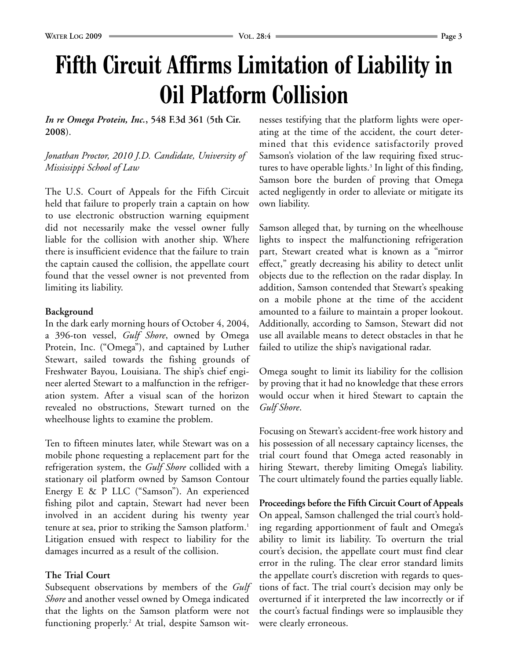# **Fifth Circuit Affirms Limitation of Liability in Oil Platform Collision**

*In re Omega Protein, Inc.***, 548 F.3d 361 (5th Cir. 2008**).

*Jonathan Proctor, 2010 J.D. Candidate, University of Mississippi School of Law*

The U.S. Court of Appeals for the Fifth Circuit held that failure to properly train a captain on how to use electronic obstruction warning equipment did not necessarily make the vessel owner fully liable for the collision with another ship. Where there is insufficient evidence that the failure to train the captain caused the collision, the appellate court found that the vessel owner is not prevented from limiting its liability.

#### **Background**

In the dark early morning hours of October 4, 2004, a 396-ton vessel, *Gulf Shore*, owned by Omega Protein, Inc. ("Omega"), and captained by Luther Stewart, sailed towards the fishing grounds of Freshwater Bayou, Louisiana. The ship's chief engineer alerted Stewart to a malfunction in the refrigeration system. After a visual scan of the horizon revealed no obstructions, Stewart turned on the wheelhouse lights to examine the problem.

Ten to fifteen minutes later, while Stewart was on a mobile phone requesting a replacement part for the refrigeration system, the *Gulf Shore* collided with a stationary oil platform owned by Samson Contour Energy E & P LLC ("Samson"). An experienced fishing pilot and captain, Stewart had never been involved in an accident during his twenty year tenure at sea, prior to striking the Samson platform.<sup>1</sup> Litigation ensued with respect to liability for the damages incurred as a result of the collision.

#### **The Trial Court**

Subsequent observations by members of the *Gulf Shore* and another vessel owned by Omega indicated that the lights on the Samson platform were not functioning properly.2 At trial, despite Samson wit-

nesses testifying that the platform lights were operating at the time of the accident, the court determined that this evidence satisfactorily proved Samson's violation of the law requiring fixed structures to have operable lights.<sup>3</sup> In light of this finding, Samson bore the burden of proving that Omega acted negligently in order to alleviate or mitigate its own liability.

Samson alleged that, by turning on the wheelhouse lights to inspect the malfunctioning refrigeration part, Stewart created what is known as a "mirror effect," greatly decreasing his ability to detect unlit objects due to the reflection on the radar display. In addition, Samson contended that Stewart's speaking on a mobile phone at the time of the accident amounted to a failure to maintain a proper lookout. Additionally, according to Samson, Stewart did not use all available means to detect obstacles in that he failed to utilize the ship's navigational radar.

Omega sought to limit its liability for the collision by proving that it had no knowledge that these errors would occur when it hired Stewart to captain the *Gulf Shore*.

Focusing on Stewart's accident-free work history and his possession of all necessary captaincy licenses, the trial court found that Omega acted reasonably in hiring Stewart, thereby limiting Omega's liability. The court ultimately found the parties equally liable.

**Proceedings before the Fifth Circuit Court of Appeals** On appeal, Samson challenged the trial court's holding regarding apportionment of fault and Omega's ability to limit its liability. To overturn the trial court's decision, the appellate court must find clear error in the ruling. The clear error standard limits the appellate court's discretion with regards to questions of fact. The trial court's decision may only be overturned if it interpreted the law incorrectly or if the court's factual findings were so implausible they were clearly erroneous.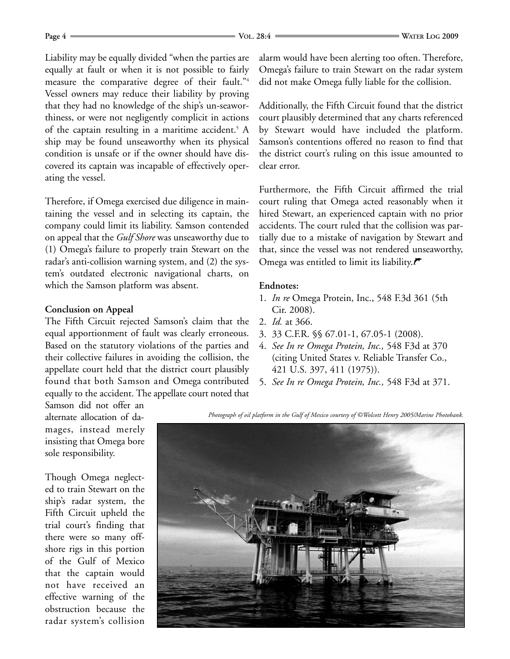Liability may be equally divided "when the parties are equally at fault or when it is not possible to fairly measure the comparative degree of their fault."4 Vessel owners may reduce their liability by proving that they had no knowledge of the ship's un-seaworthiness, or were not negligently complicit in actions of the captain resulting in a maritime accident.<sup>5</sup> A ship may be found unseaworthy when its physical condition is unsafe or if the owner should have discovered its captain was incapable of effectively operating the vessel.

Therefore, if Omega exercised due diligence in maintaining the vessel and in selecting its captain, the company could limit its liability. Samson contended on appeal that the *Gulf Shore* was unseaworthy due to (1) Omega's failure to properly train Stewart on the radar's anti-collision warning system, and (2) the system's outdated electronic navigational charts, on which the Samson platform was absent.

#### **Conclusion on Appeal**

The Fifth Circuit rejected Samson's claim that the equal apportionment of fault was clearly erroneous. Based on the statutory violations of the parties and their collective failures in avoiding the collision, the appellate court held that the district court plausibly found that both Samson and Omega contributed equally to the accident. The appellate court noted that

Samson did not offer an alternate allocation of damages, instead merely insisting that Omega bore sole responsibility.

Though Omega neglected to train Stewart on the ship's radar system, the Fifth Circuit upheld the trial court's finding that there were so many offshore rigs in this portion of the Gulf of Mexico that the captain would not have received an effective warning of the obstruction because the radar system's collision alarm would have been alerting too often. Therefore, Omega's failure to train Stewart on the radar system did not make Omega fully liable for the collision.

Additionally, the Fifth Circuit found that the district court plausibly determined that any charts referenced by Stewart would have included the platform. Samson's contentions offered no reason to find that the district court's ruling on this issue amounted to clear error.

Furthermore, the Fifth Circuit affirmed the trial court ruling that Omega acted reasonably when it hired Stewart, an experienced captain with no prior accidents. The court ruled that the collision was partially due to a mistake of navigation by Stewart and that, since the vessel was not rendered unseaworthy, Omega was entitled to limit its liability. $\blacktriangledown$ 

#### **Endnotes:**

- 1. *In re* Omega Protein, Inc., 548 F.3d 361 (5th Cir. 2008).
- 2. *Id.* at 366.
- 3. 33 C.F.R. §§ 67.01-1, 67.05-1 (2008).
- 4. *See In re Omega Protein, Inc.,* 548 F3d at 370 (citing United States v. Reliable Transfer Co., 421 U.S. 397, 411 (1975)).
- 5. *See In re Omega Protein, Inc.,* 548 F3d at 371.

*Photograph of oil platform in the Gulf of Mexico courtesy of ©Wolcott Henry 2005/Marine Photobank.*

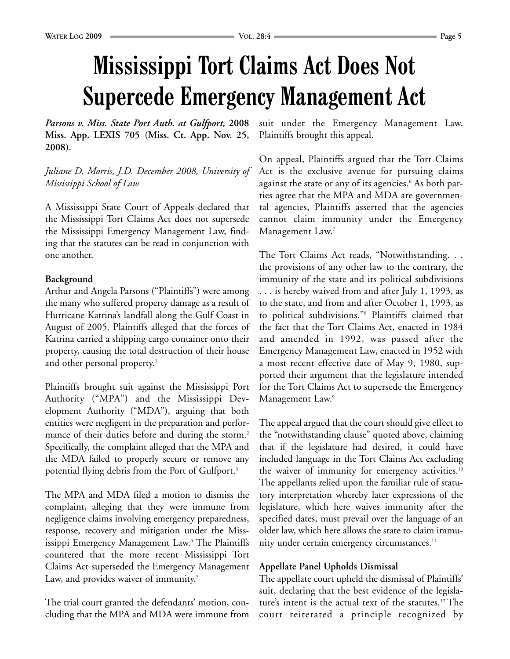# **Mississippi Tort Claims Act Does Not Supercede Emergency Management Act**

*Parsons v. Miss. State Port Auth. at Gulfport,* **2008 Miss. App. LEXIS 705 (Miss. Ct. App. Nov. 25, 2008).**

*Juliane D. Morris, J.D. December 2008, University of Mississippi School of Law*

A Mississippi State Court of Appeals declared that the Mississippi Tort Claims Act does not supersede the Mississippi Emergency Management Law, finding that the statutes can be read in conjunction with one another.

#### **Background**

Arthur and Angela Parsons ("Plaintiffs") were among the many who suffered property damage as a result of Hurricane Katrina's landfall along the Gulf Coast in August of 2005. Plaintiffs alleged that the forces of Katrina carried a shipping cargo container onto their property, causing the total destruction of their house and other personal property.<sup>1</sup>

Plaintiffs brought suit against the Mississippi Port Authority ("MPA") and the Mississippi Development Authority ("MDA"), arguing that both entities were negligent in the preparation and performance of their duties before and during the storm.<sup>2</sup> Specifically, the complaint alleged that the MPA and the MDA failed to properly secure or remove any potential flying debris from the Port of Gulfport.<sup>3</sup>

The MPA and MDA filed a motion to dismiss the complaint, alleging that they were immune from negligence claims involving emergency preparedness, response, recovery and mitigation under the Mississippi Emergency Management Law.4 The Plaintiffs countered that the more recent Mississippi Tort Claims Act superseded the Emergency Management Law, and provides waiver of immunity.<sup>5</sup>

The trial court granted the defendants' motion, concluding that the MPA and MDA were immune from suit under the Emergency Management Law. Plaintiffs brought this appeal.

On appeal, Plaintiffs argued that the Tort Claims Act is the exclusive avenue for pursuing claims against the state or any of its agencies.<sup>6</sup> As both parties agree that the MPA and MDA are governmental agencies, Plaintiffs asserted that the agencies cannot claim immunity under the Emergency Management Law.<sup>7</sup>

The Tort Claims Act reads, "Notwithstanding. . . the provisions of any other law to the contrary, the immunity of the state and its political subdivisions . . . is hereby waived from and after July 1, 1993, as to the state, and from and after October 1, 1993, as to political subdivisions."8 Plaintiffs claimed that the fact that the Tort Claims Act, enacted in 1984 and amended in 1992, was passed after the Emergency Management Law, enacted in 1952 with a most recent effective date of May 9, 1980, supported their argument that the legislature intended for the Tort Claims Act to supersede the Emergency Management Law.<sup>9</sup>

The appeal argued that the court should give effect to the "notwithstanding clause" quoted above, claiming that if the legislature had desired, it could have included language in the Tort Claims Act excluding the waiver of immunity for emergency activities.<sup>10</sup> The appellants relied upon the familiar rule of statutory interpretation whereby later expressions of the legislature, which here waives immunity after the specified dates, must prevail over the language of an older law, which here allows the state to claim immunity under certain emergency circumstances.<sup>11</sup>

#### **Appellate Panel Upholds Dismissal**

The appellate court upheld the dismissal of Plaintiffs' suit, declaring that the best evidence of the legislature's intent is the actual text of the statutes.12 The court reiterated a principle recognized by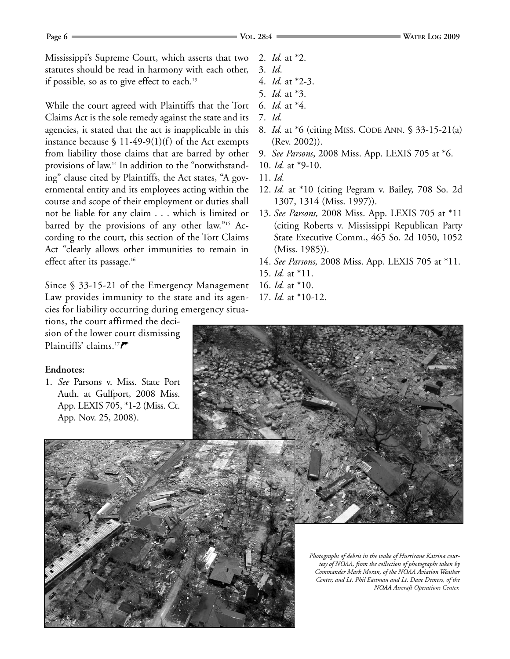Mississippi's Supreme Court, which asserts that two statutes should be read in harmony with each other, if possible, so as to give effect to each.<sup>13</sup>

While the court agreed with Plaintiffs that the Tort Claims Act is the sole remedy against the state and its agencies, it stated that the act is inapplicable in this instance because  $$ 11-49-9(1)(f)$  of the Act exempts from liability those claims that are barred by other provisions of law.14 In addition to the "notwithstanding" clause cited by Plaintiffs, the Act states, "A governmental entity and its employees acting within the course and scope of their employment or duties shall not be liable for any claim . . . which is limited or barred by the provisions of any other law."15 According to the court, this section of the Tort Claims Act "clearly allows other immunities to remain in effect after its passage.<sup>16</sup>

Since § 33-15-21 of the Emergency Management Law provides immunity to the state and its agencies for liability occurring during emergency situa-

tions, the court affirmed the decision of the lower court dismissing Plaintiffs' claims.<sup>17</sup> $\blacktriangleright$ 

#### **Endnotes:**

1. *See* Parsons v. Miss. State Port Auth. at Gulfport, 2008 Miss. App. LEXIS 705, \*1-2 (Miss. Ct. App. Nov. 25, 2008).

- 2. *Id.* at \*2.
- 3. *Id*.
- 4. *Id.* at \*2-3.
- 5. *Id.* at \*3.
- 6. *Id.* at \*4.
- 7. *Id.*
- 8. *Id.* at \*6 (citing MISS. CODE ANN. § 33-15-21(a) (Rev. 2002)).
- 9. *See Parsons*, 2008 Miss. App. LEXIS 705 at \*6.
- 10. *Id.* at \*9-10.
- 11. *Id.*
- 12. *Id.* at \*10 (citing Pegram v. Bailey, 708 So. 2d 1307, 1314 (Miss. 1997)).
- 13. *See Parsons,* 2008 Miss. App. LEXIS 705 at \*11 (citing Roberts v. Mississippi Republican Party State Executive Comm., 465 So. 2d 1050, 1052 (Miss. 1985)).
- 14. *See Parsons,* 2008 Miss. App. LEXIS 705 at \*11.
- 15. *Id.* at \*11.
- 16. *Id.* at \*10.
- 17. *Id.* at \*10-12.



*Photographs of debris in the wake of Hurricane Katrina courtesy of NOAA, from the collection of photographs taken by Commander Mark Moran, of the NOAA Aviation Weather Center, and Lt. Phil Eastman and Lt. Dave Demers, of the NOAA Aircraft Operations Center.*

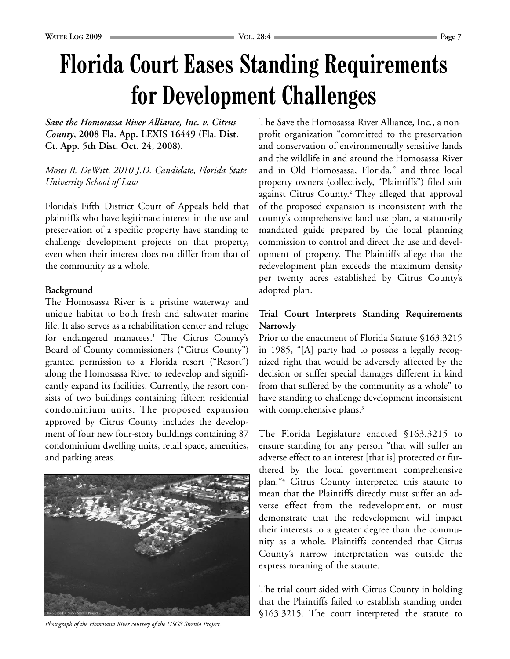*Save the Homosassa River Alliance, Inc. v. Citrus County***, 2008 Fla. App. LEXIS 16449 (Fla. Dist. Ct. App. 5th Dist. Oct. 24, 2008).**

#### *Moses R. DeWitt, 2010 J.D. Candidate, Florida State University School of Law*

Florida's Fifth District Court of Appeals held that plaintiffs who have legitimate interest in the use and preservation of a specific property have standing to challenge development projects on that property, even when their interest does not differ from that of the community as a whole.

### **Background**

The Homosassa River is a pristine waterway and unique habitat to both fresh and saltwater marine life. It also serves as a rehabilitation center and refuge for endangered manatees.<sup>1</sup> The Citrus County's Board of County commissioners ("Citrus County") granted permission to a Florida resort ("Resort") along the Homosassa River to redevelop and significantly expand its facilities. Currently, the resort consists of two buildings containing fifteen residential condominium units. The proposed expansion approved by Citrus County includes the development of four new four-story buildings containing 87 condominium dwelling units, retail space, amenities, and parking areas.



mandated guide prepared by the local planning commission to control and direct the use and development of property. The Plaintiffs allege that the redevelopment plan exceeds the maximum density per twenty acres established by Citrus County's adopted plan.

### **Trial Court Interprets Standing Requirements Narrowly**

Prior to the enactment of Florida Statute §163.3215 in 1985, "[A] party had to possess a legally recognized right that would be adversely affected by the decision or suffer special damages different in kind from that suffered by the community as a whole" to have standing to challenge development inconsistent with comprehensive plans.<sup>3</sup>

The Florida Legislature enacted §163.3215 to ensure standing for any person "that will suffer an adverse effect to an interest [that is] protected or furthered by the local government comprehensive plan."4 Citrus County interpreted this statute to mean that the Plaintiffs directly must suffer an adverse effect from the redevelopment, or must demonstrate that the redevelopment will impact their interests to a greater degree than the community as a whole. Plaintiffs contended that Citrus County's narrow interpretation was outside the express meaning of the statute.

The trial court sided with Citrus County in holding that the Plaintiffs failed to establish standing under §163.3215. The court interpreted the statute to

*Photograph of the Homosassa River courtesy of the USGS Sirenia Project.*

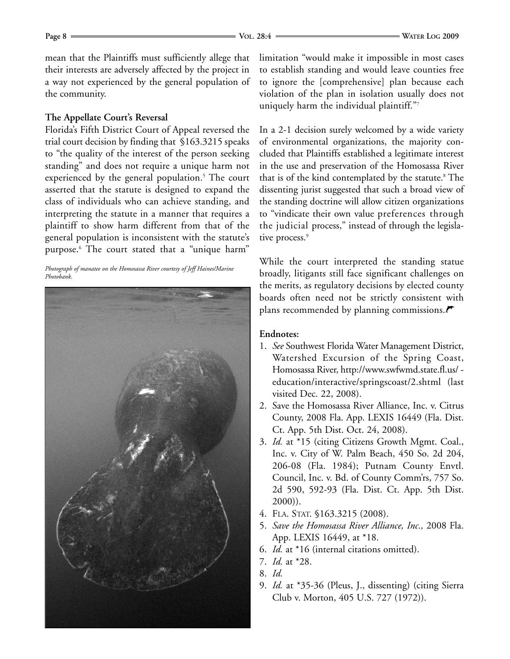mean that the Plaintiffs must sufficiently allege that their interests are adversely affected by the project in a way not experienced by the general population of the community.

#### **The Appellate Court's Reversal**

Florida's Fifth District Court of Appeal reversed the trial court decision by finding that §163.3215 speaks to "the quality of the interest of the person seeking standing" and does not require a unique harm not experienced by the general population.<sup>5</sup> The court asserted that the statute is designed to expand the class of individuals who can achieve standing, and interpreting the statute in a manner that requires a plaintiff to show harm different from that of the general population is inconsistent with the statute's purpose.6 The court stated that a "unique harm"

*Photograph of manatee on the Homosassa River courtesy of Jeff Haines/Marine Photobank.*



limitation "would make it impossible in most cases to establish standing and would leave counties free to ignore the [comprehensive] plan because each violation of the plan in isolation usually does not uniquely harm the individual plaintiff."7

In a 2-1 decision surely welcomed by a wide variety of environmental organizations, the majority concluded that Plaintiffs established a legitimate interest in the use and preservation of the Homosassa River that is of the kind contemplated by the statute.<sup>8</sup> The dissenting jurist suggested that such a broad view of the standing doctrine will allow citizen organizations to "vindicate their own value preferences through the judicial process," instead of through the legislative process.<sup>9</sup>

While the court interpreted the standing statue broadly, litigants still face significant challenges on the merits, as regulatory decisions by elected county boards often need not be strictly consistent with plans recommended by planning commissions. $\mathcal F$ 

#### **Endnotes:**

- 1. *See* Southwest Florida Water Management District, Watershed Excursion of the Spring Coast, Homosassa River, http://www.swfwmd.state.fl.us/ education/interactive/springscoast/2.shtml (last visited Dec. 22, 2008).
- 2. Save the Homosassa River Alliance, Inc. v. Citrus County, 2008 Fla. App. LEXIS 16449 (Fla. Dist. Ct. App. 5th Dist. Oct. 24, 2008).
- 3. *Id.* at \*15 (citing Citizens Growth Mgmt. Coal., Inc. v. City of W. Palm Beach, 450 So. 2d 204, 206-08 (Fla. 1984); Putnam County Envtl. Council, Inc. v. Bd. of County Comm'rs, 757 So. 2d 590, 592-93 (Fla. Dist. Ct. App. 5th Dist. 2000)).
- 4. FLA. STAT. §163.3215 (2008).
- 5. *Save the Homosassa River Alliance, Inc.,* 2008 Fla. App. LEXIS 16449, at \*18.
- 6. *Id.* at \*16 (internal citations omitted).
- 7. *Id.* at \*28.
- 8. *Id.*
- 9. *Id.* at \*35-36 (Pleus, J., dissenting) (citing Sierra Club v. Morton, 405 U.S. 727 (1972)).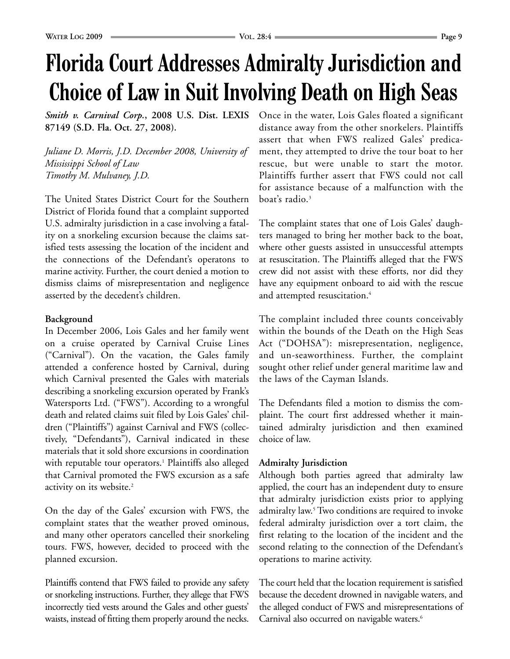# **Florida Court Addresses Admiralty Jurisdiction and Choice of Law in Suit Involving Death on High Seas**

*Smith v. Carnival Corp.***, 2008 U.S. Dist. LEXIS 87149 (S.D. Fla. Oct. 27, 2008).**

*Juliane D. Morris, J.D. December 2008, University of Mississippi School of Law Timothy M. Mulvaney, J.D.*

The United States District Court for the Southern District of Florida found that a complaint supported U.S. admiralty jurisdiction in a case involving a fatality on a snorkeling excursion because the claims satisfied tests assessing the location of the incident and the connections of the Defendant's operatons to marine activity. Further, the court denied a motion to dismiss claims of misrepresentation and negligence asserted by the decedent's children.

#### **Background**

In December 2006, Lois Gales and her family went on a cruise operated by Carnival Cruise Lines ("Carnival"). On the vacation, the Gales family attended a conference hosted by Carnival, during which Carnival presented the Gales with materials describing a snorkeling excursion operated by Frank's Watersports Ltd. ("FWS"). According to a wrongful death and related claims suit filed by Lois Gales' children ("Plaintiffs") against Carnival and FWS (collectively, "Defendants"), Carnival indicated in these materials that it sold shore excursions in coordination with reputable tour operators.<sup>1</sup> Plaintiffs also alleged that Carnival promoted the FWS excursion as a safe activity on its website.<sup>2</sup>

On the day of the Gales' excursion with FWS, the complaint states that the weather proved ominous, and many other operators cancelled their snorkeling tours. FWS, however, decided to proceed with the planned excursion.

Plaintiffs contend that FWS failed to provide any safety or snorkeling instructions. Further, they allege that FWS incorrectly tied vests around the Gales and other guests' waists, instead of fitting them properly around the necks.

Once in the water, Lois Gales floated a significant distance away from the other snorkelers. Plaintiffs assert that when FWS realized Gales' predicament, they attempted to drive the tour boat to her rescue, but were unable to start the motor. Plaintiffs further assert that FWS could not call for assistance because of a malfunction with the boat's radio.3

The complaint states that one of Lois Gales' daughters managed to bring her mother back to the boat, where other guests assisted in unsuccessful attempts at resuscitation. The Plaintiffs alleged that the FWS crew did not assist with these efforts, nor did they have any equipment onboard to aid with the rescue and attempted resuscitation.<sup>4</sup>

The complaint included three counts conceivably within the bounds of the Death on the High Seas Act ("DOHSA"): misrepresentation, negligence, and un-seaworthiness. Further, the complaint sought other relief under general maritime law and the laws of the Cayman Islands.

The Defendants filed a motion to dismiss the complaint. The court first addressed whether it maintained admiralty jurisdiction and then examined choice of law.

#### **Admiralty Jurisdiction**

Although both parties agreed that admiralty law applied, the court has an independent duty to ensure that admiralty jurisdiction exists prior to applying admiralty law.<sup>5</sup> Two conditions are required to invoke federal admiralty jurisdiction over a tort claim, the first relating to the location of the incident and the second relating to the connection of the Defendant's operations to marine activity.

The court held that the location requirement is satisfied because the decedent drowned in navigable waters, and the alleged conduct of FWS and misrepresentations of Carnival also occurred on navigable waters.<sup>6</sup>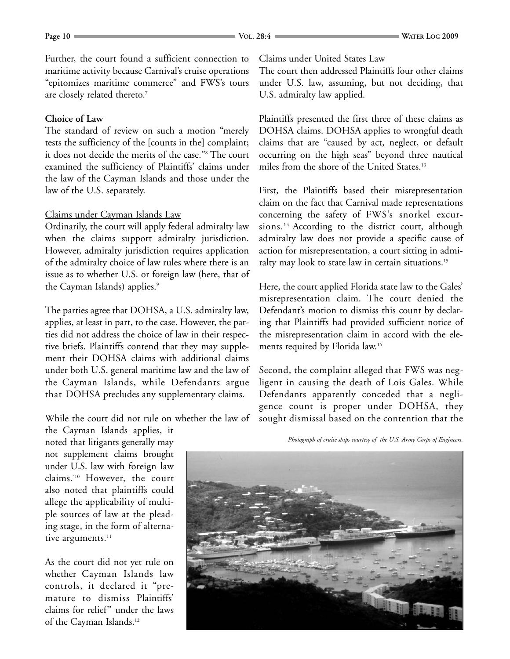Further, the court found a sufficient connection to maritime activity because Carnival's cruise operations "epitomizes maritime commerce" and FWS's tours are closely related thereto.7

#### **Choice of Law**

The standard of review on such a motion "merely tests the sufficiency of the [counts in the] complaint; it does not decide the merits of the case."8 The court examined the sufficiency of Plaintiffs' claims under the law of the Cayman Islands and those under the law of the U.S. separately.

#### Claims under Cayman Islands Law

Ordinarily, the court will apply federal admiralty law when the claims support admiralty jurisdiction. However, admiralty jurisdiction requires application of the admiralty choice of law rules where there is an issue as to whether U.S. or foreign law (here, that of the Cayman Islands) applies.<sup>9</sup>

The parties agree that DOHSA, a U.S. admiralty law, applies, at least in part, to the case. However, the parties did not address the choice of law in their respective briefs. Plaintiffs contend that they may supplement their DOHSA claims with additional claims under both U.S. general maritime law and the law of the Cayman Islands, while Defendants argue that DOHSA precludes any supplementary claims.

While the court did not rule on whether the law of

the Cayman Islands applies, it noted that litigants generally may not supplement claims brought under U.S. law with foreign law claims.`10 However, the court also noted that plaintiffs could allege the applicability of multiple sources of law at the pleading stage, in the form of alternative arguments.<sup>11</sup>

As the court did not yet rule on whether Cayman Islands law controls, it declared it "premature to dismiss Plaintiffs' claims for relief" under the laws of the Cayman Islands.12

Claims under United States Law

The court then addressed Plaintiffs four other claims under U.S. law, assuming, but not deciding, that U.S. admiralty law applied.

Plaintiffs presented the first three of these claims as DOHSA claims. DOHSA applies to wrongful death claims that are "caused by act, neglect, or default occurring on the high seas" beyond three nautical miles from the shore of the United States.<sup>13</sup>

First, the Plaintiffs based their misrepresentation claim on the fact that Carnival made representations concerning the safety of FWS's snorkel excursions.<sup>14</sup> According to the district court, although admiralty law does not provide a specific cause of action for misrepresentation, a court sitting in admiralty may look to state law in certain situations.<sup>15</sup>

Here, the court applied Florida state law to the Gales' misrepresentation claim. The court denied the Defendant's motion to dismiss this count by declaring that Plaintiffs had provided sufficient notice of the misrepresentation claim in accord with the elements required by Florida law.16

Second, the complaint alleged that FWS was negligent in causing the death of Lois Gales. While Defendants apparently conceded that a negligence count is proper under DOHSA, they sought dismissal based on the contention that the

*Photograph of cruise ships courtesy of the U.S. Army Corps of Engineers.*

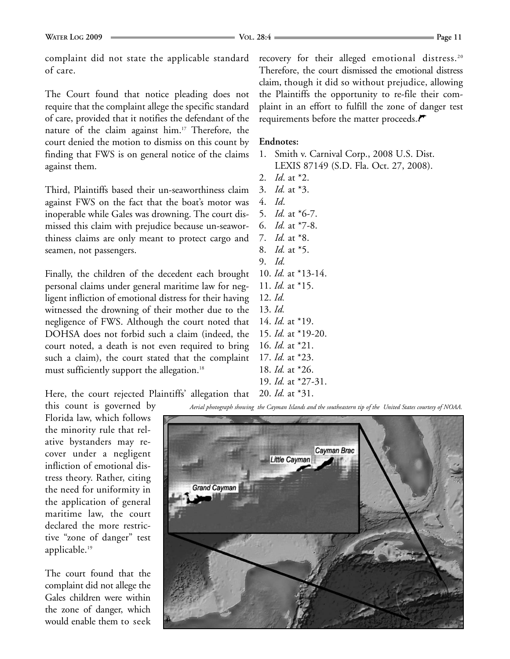complaint did not state the applicable standard of care.

The Court found that notice pleading does not require that the complaint allege the specific standard of care, provided that it notifies the defendant of the nature of the claim against him.17 Therefore, the court denied the motion to dismiss on this count by finding that FWS is on general notice of the claims against them.

Third, Plaintiffs based their un-seaworthiness claim against FWS on the fact that the boat's motor was inoperable while Gales was drowning. The court dismissed this claim with prejudice because un-seaworthiness claims are only meant to protect cargo and seamen, not passengers.

Finally, the children of the decedent each brought personal claims under general maritime law for negligent infliction of emotional distress for their having witnessed the drowning of their mother due to the negligence of FWS. Although the court noted that DOHSA does not forbid such a claim (indeed, the court noted, a death is not even required to bring such a claim), the court stated that the complaint must sufficiently support the allegation.<sup>18</sup>

recovery for their alleged emotional distress.<sup>20</sup> Therefore, the court dismissed the emotional distress claim, though it did so without prejudice, allowing the Plaintiffs the opportunity to re-file their complaint in an effort to fulfill the zone of danger test requirements before the matter proceeds.

#### **Endnotes:**

- 1. Smith v. Carnival Corp., 2008 U.S. Dist. LEXIS 87149 (S.D. Fla. Oct. 27, 2008).
- 2. *Id*. at \*2.
- 3. *Id.* at \*3.
- 4. *Id*.
- 5. *Id.* at \*6-7.
- 6. *Id.* at \*7-8.
- 7. *Id.* at \*8.
- 8. *Id.* at \*5. 9. *Id.*
- 10. *Id.* at \*13-14.
- 11. *Id.* at \*15.
- 12. *Id.*
- 13. *Id.*
- 14. *Id.* at \*19. 15. *Id.* at \*19-20.
- 16. *Id.* at \*21.
- 17. *Id.* at \*23.
- 18. *Id.* at \*26.
- 19. *Id.* at \*27-31.

Here, the court rejected Plaintiffs' allegation that 20. *Id.* at \*31.

this count is governed by Florida law, which follows the minority rule that relative bystanders may recover under a negligent infliction of emotional distress theory. Rather, citing the need for uniformity in the application of general maritime law, the court declared the more restrictive "zone of danger" test applicable.19

The court found that the complaint did not allege the Gales children were within the zone of danger, which would enable them to seek

*Aerial photograph showing the Cayman Islands and the southeastern tip of the United States courtesy of NOAA.*

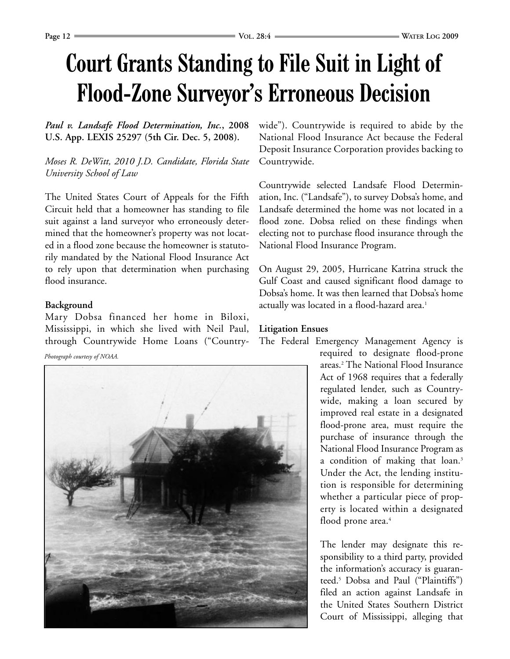# **Court Grants Standing to File Suit in Light of Flood-Zone Surveyor's Erroneous Decision**

#### *Paul v. Landsafe Flood Determination, Inc.***, 2008 U.S. App. LEXIS 25297 (5th Cir. Dec. 5, 2008).**

*Moses R. DeWitt, 2010 J.D. Candidate, Florida State University School of Law*

The United States Court of Appeals for the Fifth Circuit held that a homeowner has standing to file suit against a land surveyor who erroneously determined that the homeowner's property was not located in a flood zone because the homeowner is statutorily mandated by the National Flood Insurance Act to rely upon that determination when purchasing flood insurance.

#### **Background**

Mary Dobsa financed her home in Biloxi, Mississippi, in which she lived with Neil Paul, through Countrywide Home Loans ("Country-

*Photograph courtesy of NOAA.*



wide"). Countrywide is required to abide by the National Flood Insurance Act because the Federal Deposit Insurance Corporation provides backing to Countrywide.

Countrywide selected Landsafe Flood Determination, Inc. ("Landsafe"), to survey Dobsa's home, and Landsafe determined the home was not located in a flood zone. Dobsa relied on these findings when electing not to purchase flood insurance through the National Flood Insurance Program.

On August 29, 2005, Hurricane Katrina struck the Gulf Coast and caused significant flood damage to Dobsa's home. It was then learned that Dobsa's home actually was located in a flood-hazard area.<sup>1</sup>

#### **Litigation Ensues**

The Federal Emergency Management Agency is

required to designate flood-prone areas.2 The National Flood Insurance Act of 1968 requires that a federally regulated lender, such as Countrywide, making a loan secured by improved real estate in a designated flood-prone area, must require the purchase of insurance through the National Flood Insurance Program as a condition of making that loan.<sup>3</sup> Under the Act, the lending institution is responsible for determining whether a particular piece of property is located within a designated flood prone area.<sup>4</sup>

The lender may designate this responsibility to a third party, provided the information's accuracy is guaranteed.5 Dobsa and Paul ("Plaintiffs") filed an action against Landsafe in the United States Southern District Court of Mississippi, alleging that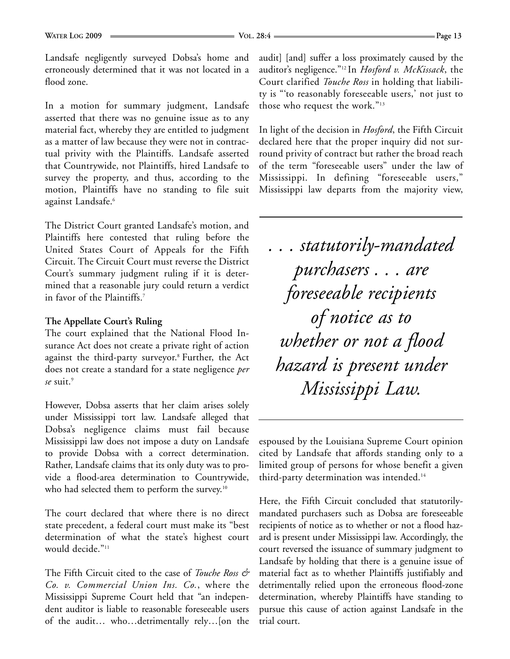Landsafe negligently surveyed Dobsa's home and erroneously determined that it was not located in a flood zone.

In a motion for summary judgment, Landsafe asserted that there was no genuine issue as to any material fact, whereby they are entitled to judgment as a matter of law because they were not in contractual privity with the Plaintiffs. Landsafe asserted that Countrywide, not Plaintiffs, hired Landsafe to survey the property, and thus, according to the motion, Plaintiffs have no standing to file suit against Landsafe.<sup>6</sup>

The District Court granted Landsafe's motion, and Plaintiffs here contested that ruling before the United States Court of Appeals for the Fifth Circuit. The Circuit Court must reverse the District Court's summary judgment ruling if it is determined that a reasonable jury could return a verdict in favor of the Plaintiffs.7

#### **The Appellate Court's Ruling**

The court explained that the National Flood Insurance Act does not create a private right of action against the third-party surveyor.8 Further, the Act does not create a standard for a state negligence *per se* suit.9

However, Dobsa asserts that her claim arises solely under Mississippi tort law. Landsafe alleged that Dobsa's negligence claims must fail because Mississippi law does not impose a duty on Landsafe to provide Dobsa with a correct determination. Rather, Landsafe claims that its only duty was to provide a flood-area determination to Countrywide, who had selected them to perform the survey.<sup>10</sup>

The court declared that where there is no direct state precedent, a federal court must make its "best determination of what the state's highest court would decide."<sup>11</sup>

The Fifth Circuit cited to the case of *Touche Ross & Co. v. Commercial Union Ins. Co.*, where the Mississippi Supreme Court held that "an independent auditor is liable to reasonable foreseeable users of the audit… who…detrimentally rely…[on the

audit] [and] suffer a loss proximately caused by the auditor's negligence."12 In *Hosford v. McKissack*, the Court clarified *Touche Ross* in holding that liability is "'to reasonably foreseeable users,' not just to those who request the work."13

In light of the decision in *Hosford*, the Fifth Circuit declared here that the proper inquiry did not surround privity of contract but rather the broad reach of the term "foreseeable users" under the law of Mississippi. In defining "foreseeable users," Mississippi law departs from the majority view,

*. . . statutorily-mandated purchasers . . . are foreseeable recipients of notice as to whether or not a flood hazard is present under Mississippi Law.*

espoused by the Louisiana Supreme Court opinion cited by Landsafe that affords standing only to a limited group of persons for whose benefit a given third-party determination was intended.<sup>14</sup>

Here, the Fifth Circuit concluded that statutorilymandated purchasers such as Dobsa are foreseeable recipients of notice as to whether or not a flood hazard is present under Mississippi law. Accordingly, the court reversed the issuance of summary judgment to Landsafe by holding that there is a genuine issue of material fact as to whether Plaintiffs justifiably and detrimentally relied upon the erroneous flood-zone determination, whereby Plaintiffs have standing to pursue this cause of action against Landsafe in the trial court.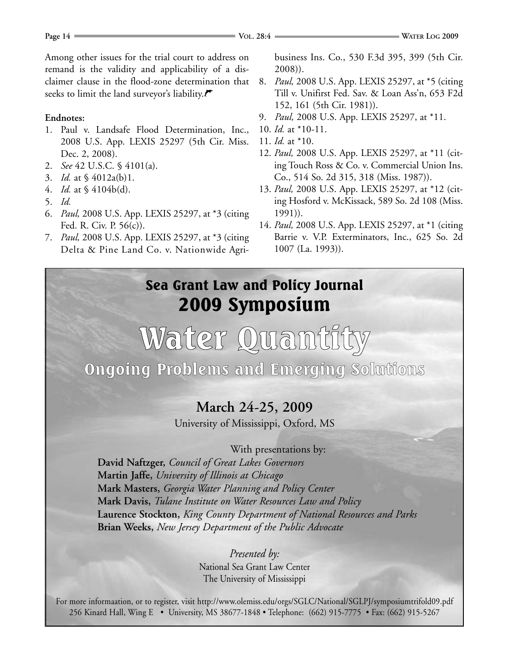Among other issues for the trial court to address on remand is the validity and applicability of a disclaimer clause in the flood-zone determination that seeks to limit the land surveyor's liability. $\blacktriangledown$ 

#### **Endnotes:**

- 1. Paul v. Landsafe Flood Determination, Inc., 2008 U.S. App. LEXIS 25297 (5th Cir. Miss. Dec. 2, 2008).
- 2. *See* 42 U.S.C. § 4101(a).
- 3. *Id.* at § 4012a(b)1.
- 4. *Id.* at § 4104b(d).
- 5. *Id.*
- 6. *Paul,* 2008 U.S. App. LEXIS 25297, at \*3 (citing Fed. R. Civ. P. 56(c)).
- 7. *Paul,* 2008 U.S. App. LEXIS 25297, at \*3 (citing Delta & Pine Land Co. v. Nationwide Agri-

business Ins. Co., 530 F.3d 395, 399 (5th Cir. 2008)).

- 8. *Paul,* 2008 U.S. App. LEXIS 25297, at \*5 (citing Till v. Unifirst Fed. Sav. & Loan Ass'n, 653 F2d 152, 161 (5th Cir. 1981)).
- 9. *Paul,* 2008 U.S. App. LEXIS 25297, at \*11.
- 10. *Id.* at \*10-11.
- 11. *Id.* at \*10.
- 12. *Paul,* 2008 U.S. App. LEXIS 25297, at \*11 (citing Touch Ross & Co. v. Commercial Union Ins. Co., 514 So. 2d 315, 318 (Miss. 1987)).
- 13. *Paul,* 2008 U.S. App. LEXIS 25297, at \*12 (citing Hosford v. McKissack, 589 So. 2d 108 (Miss. 1991)).
- 14. *Paul,* 2008 U.S. App. LEXIS 25297, at \*1 (citing Barrie v. V.P. Exterminators, Inc., 625 So. 2d 1007 (La. 1993)).

### Sea Grant Law and Policy Journal 2009 Symposium

# Water Quantity

Ongoing Problems and Emerging Solutions

### **March 24-25, 2009**

University of Mississippi, Oxford, MS

With presentations by:

**David Naftzger,** *Council of Great Lakes Governors* **Martin Jaffe,** *University of Illinois at Chicago* **Mark Masters,** *Georgia Water Planning and Policy Center* **Mark Davis,** *Tulane Institute on Water Resources Law and Policy* **Laurence Stockton,** *King County Department of National Resources and Parks* **Brian Weeks,** *New Jersey Department of the Public Advocate*

> *Presented by:* National Sea Grant Law Center The University of Mississippi

For more informaation, or to register, visit http://www.olemiss.edu/orgs/SGLC/National/SGLPJ/symposiumtrifold09.pdf 256 Kinard Hall, Wing E • University, MS 38677-1848 • Telephone: (662) 915-7775 • Fax: (662) 915-5267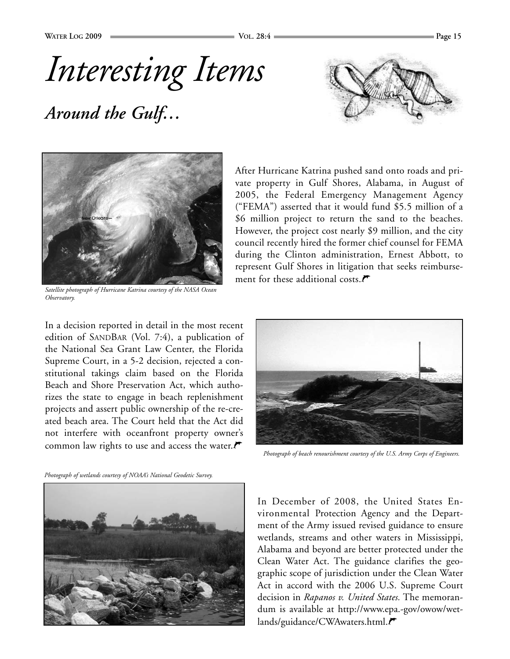*Interesting Items*

*Around the Gulf…*





*Satellite photograph of Hurricane Katrina courtesy of the NASA Ocean Observatory.*

In a decision reported in detail in the most recent edition of SANDBAR (Vol. 7:4), a publication of the National Sea Grant Law Center, the Florida Supreme Court, in a 5-2 decision, rejected a constitutional takings claim based on the Florida Beach and Shore Preservation Act, which authorizes the state to engage in beach replenishment projects and assert public ownership of the re-created beach area. The Court held that the Act did not interfere with oceanfront property owner's common law rights to use and access the water. $\mathcal{F}$ 

After Hurricane Katrina pushed sand onto roads and private property in Gulf Shores, Alabama, in August of 2005, the Federal Emergency Management Agency ("FEMA") asserted that it would fund \$5.5 million of a \$6 million project to return the sand to the beaches. However, the project cost nearly \$9 million, and the city council recently hired the former chief counsel for FEMA during the Clinton administration, Ernest Abbott, to represent Gulf Shores in litigation that seeks reimbursement for these additional costs. $\blacktriangledown$ 



*Photograph of beach renourishment courtesy of the U.S. Army Corps of Engineers.*





In December of 2008, the United States Environmental Protection Agency and the Department of the Army issued revised guidance to ensure wetlands, streams and other waters in Mississippi, Alabama and beyond are better protected under the Clean Water Act. The guidance clarifies the geographic scope of jurisdiction under the Clean Water Act in accord with the 2006 U.S. Supreme Court decision in *Rapanos v. United States.* The memorandum is available at http://www.epa.-gov/owow/wetlands/guidance/CWAwaters.html.